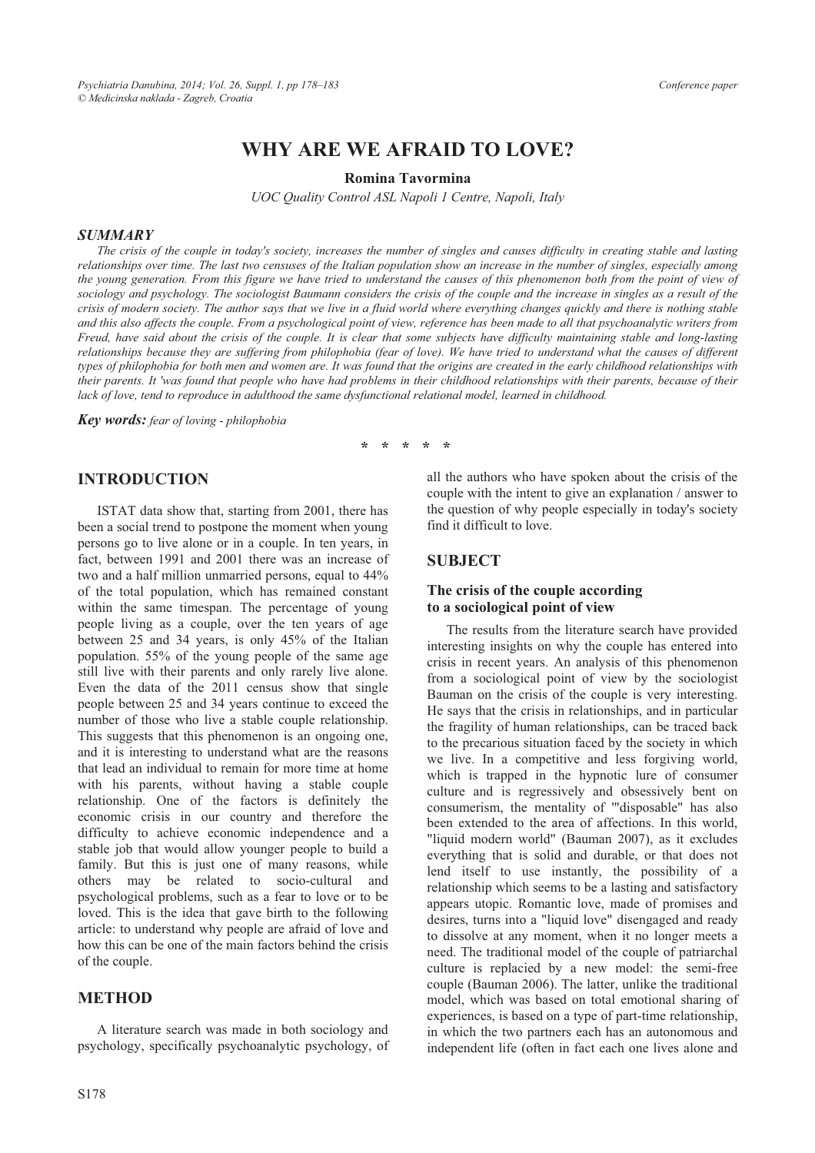# **WHY ARE WE AFRAID TO LOVE?**

#### **Romina Tavormina**

*UOC Quality Control ASL Napoli 1 Centre, Napoli, Italy* 

#### *SUMMARY*

*The crisis of the couple in today's society, increases the number of singles and causes difficulty in creating stable and lasting relationships over time. The last two censuses of the Italian population show an increase in the number of singles, especially among the young generation. From this figure we have tried to understand the causes of this phenomenon both from the point of view of sociology and psychology. The sociologist Baumann considers the crisis of the couple and the increase in singles as a result of the crisis of modern society. The author says that we live in a fluid world where everything changes quickly and there is nothing stable and this also affects the couple. From a psychological point of view, reference has been made to all that psychoanalytic writers from Freud, have said about the crisis of the couple. It is clear that some subjects have difficulty maintaining stable and long-lasting relationships because they are suffering from philophobia (fear of love). We have tried to understand what the causes of different types of philophobia for both men and women are. It was found that the origins are created in the early childhood relationships with their parents. It 'was found that people who have had problems in their childhood relationships with their parents, because of their* lack of love, tend to reproduce in adulthood the same dysfunctional relational model, learned in childhood.

*Key words: fear of loving - philophobia* 

**\* \* \* \* \*** 

## **INTRODUCTION**

ISTAT data show that, starting from 2001, there has been a social trend to postpone the moment when young persons go to live alone or in a couple. In ten years, in fact, between 1991 and 2001 there was an increase of two and a half million unmarried persons, equal to 44% of the total population, which has remained constant within the same timespan. The percentage of young people living as a couple, over the ten years of age between 25 and 34 years, is only 45% of the Italian population. 55% of the young people of the same age still live with their parents and only rarely live alone. Even the data of the 2011 census show that single people between 25 and 34 years continue to exceed the number of those who live a stable couple relationship. This suggests that this phenomenon is an ongoing one, and it is interesting to understand what are the reasons that lead an individual to remain for more time at home with his parents, without having a stable couple relationship. One of the factors is definitely the economic crisis in our country and therefore the difficulty to achieve economic independence and a stable job that would allow younger people to build a family. But this is just one of many reasons, while others may be related to socio-cultural and psychological problems, such as a fear to love or to be loved. This is the idea that gave birth to the following article: to understand why people are afraid of love and how this can be one of the main factors behind the crisis of the couple.

### **METHOD**

A literature search was made in both sociology and psychology, specifically psychoanalytic psychology, of all the authors who have spoken about the crisis of the couple with the intent to give an explanation / answer to the question of why people especially in today's society find it difficult to love.

### **SUBJECT**

#### **The crisis of the couple according to a sociological point of view**

The results from the literature search have provided interesting insights on why the couple has entered into crisis in recent years. An analysis of this phenomenon from a sociological point of view by the sociologist Bauman on the crisis of the couple is very interesting. He says that the crisis in relationships, and in particular the fragility of human relationships, can be traced back to the precarious situation faced by the society in which we live. In a competitive and less forgiving world, which is trapped in the hypnotic lure of consumer culture and is regressively and obsessively bent on consumerism, the mentality of '"disposable" has also been extended to the area of affections. In this world, "liquid modern world" (Bauman 2007), as it excludes everything that is solid and durable, or that does not lend itself to use instantly, the possibility of a relationship which seems to be a lasting and satisfactory appears utopic. Romantic love, made of promises and desires, turns into a "liquid love" disengaged and ready to dissolve at any moment, when it no longer meets a need. The traditional model of the couple of patriarchal culture is replacied by a new model: the semi-free couple (Bauman 2006). The latter, unlike the traditional model, which was based on total emotional sharing of experiences, is based on a type of part-time relationship, in which the two partners each has an autonomous and independent life (often in fact each one lives alone and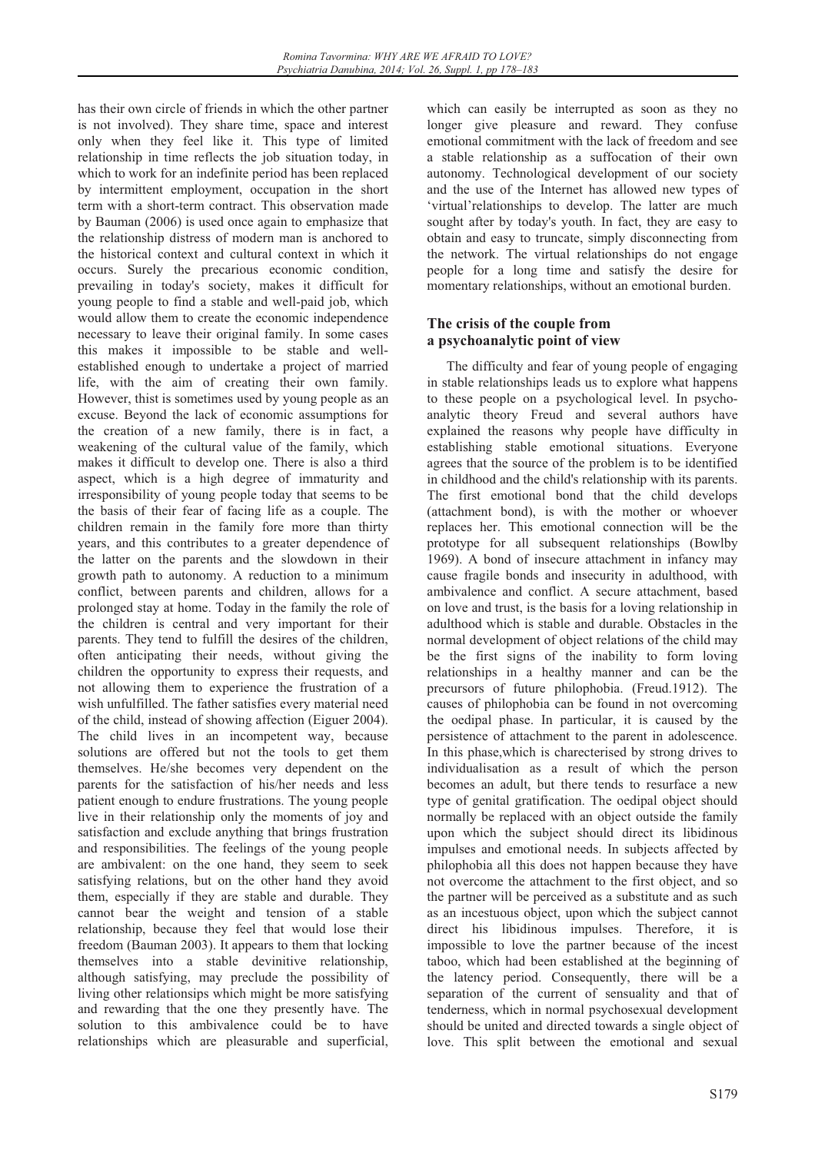has their own circle of friends in which the other partner is not involved). They share time, space and interest only when they feel like it. This type of limited relationship in time reflects the job situation today, in which to work for an indefinite period has been replaced by intermittent employment, occupation in the short term with a short-term contract. This observation made by Bauman (2006) is used once again to emphasize that the relationship distress of modern man is anchored to the historical context and cultural context in which it occurs. Surely the precarious economic condition, prevailing in today's society, makes it difficult for young people to find a stable and well-paid job, which would allow them to create the economic independence necessary to leave their original family. In some cases this makes it impossible to be stable and wellestablished enough to undertake a project of married life, with the aim of creating their own family. However, thist is sometimes used by young people as an excuse. Beyond the lack of economic assumptions for the creation of a new family, there is in fact, a weakening of the cultural value of the family, which makes it difficult to develop one. There is also a third aspect, which is a high degree of immaturity and irresponsibility of young people today that seems to be the basis of their fear of facing life as a couple. The children remain in the family fore more than thirty years, and this contributes to a greater dependence of the latter on the parents and the slowdown in their growth path to autonomy. A reduction to a minimum conflict, between parents and children, allows for a prolonged stay at home. Today in the family the role of the children is central and very important for their parents. They tend to fulfill the desires of the children, often anticipating their needs, without giving the children the opportunity to express their requests, and not allowing them to experience the frustration of a wish unfulfilled. The father satisfies every material need of the child, instead of showing affection (Eiguer 2004). The child lives in an incompetent way, because solutions are offered but not the tools to get them themselves. He/she becomes very dependent on the parents for the satisfaction of his/her needs and less patient enough to endure frustrations. The young people live in their relationship only the moments of joy and satisfaction and exclude anything that brings frustration and responsibilities. The feelings of the young people are ambivalent: on the one hand, they seem to seek satisfying relations, but on the other hand they avoid them, especially if they are stable and durable. They cannot bear the weight and tension of a stable relationship, because they feel that would lose their freedom (Bauman 2003). It appears to them that locking themselves into a stable devinitive relationship, although satisfying, may preclude the possibility of living other relationsips which might be more satisfying and rewarding that the one they presently have. The solution to this ambivalence could be to have relationships which are pleasurable and superficial,

which can easily be interrupted as soon as they no longer give pleasure and reward. They confuse emotional commitment with the lack of freedom and see a stable relationship as a suffocation of their own autonomy. Technological development of our society and the use of the Internet has allowed new types of 'virtual'relationships to develop. The latter are much sought after by today's youth. In fact, they are easy to obtain and easy to truncate, simply disconnecting from the network. The virtual relationships do not engage people for a long time and satisfy the desire for momentary relationships, without an emotional burden.

## **The crisis of the couple from a psychoanalytic point of view**

The difficulty and fear of young people of engaging in stable relationships leads us to explore what happens to these people on a psychological level. In psychoanalytic theory Freud and several authors have explained the reasons why people have difficulty in establishing stable emotional situations. Everyone agrees that the source of the problem is to be identified in childhood and the child's relationship with its parents. The first emotional bond that the child develops (attachment bond), is with the mother or whoever replaces her. This emotional connection will be the prototype for all subsequent relationships (Bowlby 1969). A bond of insecure attachment in infancy may cause fragile bonds and insecurity in adulthood, with ambivalence and conflict. A secure attachment, based on love and trust, is the basis for a loving relationship in adulthood which is stable and durable. Obstacles in the normal development of object relations of the child may be the first signs of the inability to form loving relationships in a healthy manner and can be the precursors of future philophobia. (Freud.1912). The causes of philophobia can be found in not overcoming the oedipal phase. In particular, it is caused by the persistence of attachment to the parent in adolescence. In this phase,which is charecterised by strong drives to individualisation as a result of which the person becomes an adult, but there tends to resurface a new type of genital gratification. The oedipal object should normally be replaced with an object outside the family upon which the subject should direct its libidinous impulses and emotional needs. In subjects affected by philophobia all this does not happen because they have not overcome the attachment to the first object, and so the partner will be perceived as a substitute and as such as an incestuous object, upon which the subject cannot direct his libidinous impulses. Therefore, it is impossible to love the partner because of the incest taboo, which had been established at the beginning of the latency period. Consequently, there will be a separation of the current of sensuality and that of tenderness, which in normal psychosexual development should be united and directed towards a single object of love. This split between the emotional and sexual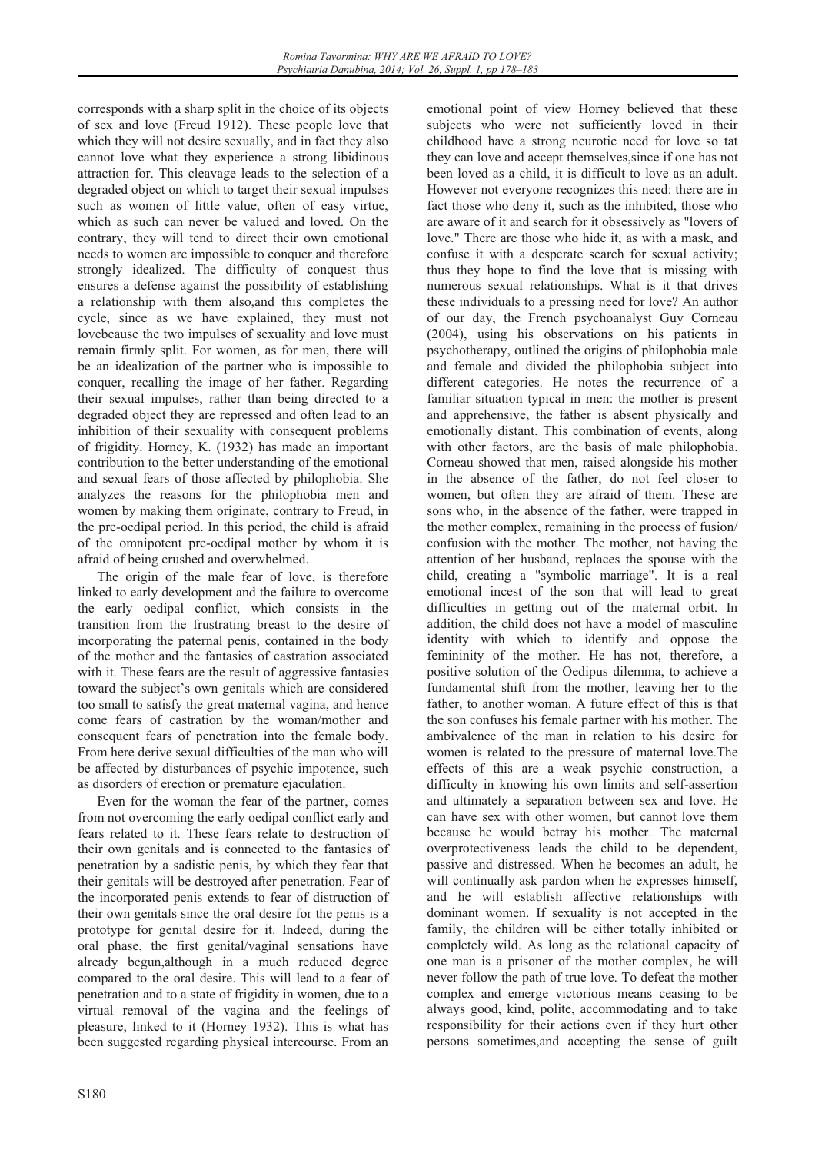corresponds with a sharp split in the choice of its objects of sex and love (Freud 1912). These people love that which they will not desire sexually, and in fact they also cannot love what they experience a strong libidinous attraction for. This cleavage leads to the selection of a degraded object on which to target their sexual impulses such as women of little value, often of easy virtue, which as such can never be valued and loved. On the contrary, they will tend to direct their own emotional needs to women are impossible to conquer and therefore strongly idealized. The difficulty of conquest thus ensures a defense against the possibility of establishing a relationship with them also,and this completes the cycle, since as we have explained, they must not lovebcause the two impulses of sexuality and love must remain firmly split. For women, as for men, there will be an idealization of the partner who is impossible to conquer, recalling the image of her father. Regarding their sexual impulses, rather than being directed to a degraded object they are repressed and often lead to an inhibition of their sexuality with consequent problems of frigidity. Horney, K. (1932) has made an important contribution to the better understanding of the emotional and sexual fears of those affected by philophobia. She analyzes the reasons for the philophobia men and women by making them originate, contrary to Freud, in the pre-oedipal period. In this period, the child is afraid of the omnipotent pre-oedipal mother by whom it is afraid of being crushed and overwhelmed.

The origin of the male fear of love, is therefore linked to early development and the failure to overcome the early oedipal conflict, which consists in the transition from the frustrating breast to the desire of incorporating the paternal penis, contained in the body of the mother and the fantasies of castration associated with it. These fears are the result of aggressive fantasies toward the subject's own genitals which are considered too small to satisfy the great maternal vagina, and hence come fears of castration by the woman/mother and consequent fears of penetration into the female body. From here derive sexual difficulties of the man who will be affected by disturbances of psychic impotence, such as disorders of erection or premature ejaculation.

Even for the woman the fear of the partner, comes from not overcoming the early oedipal conflict early and fears related to it. These fears relate to destruction of their own genitals and is connected to the fantasies of penetration by a sadistic penis, by which they fear that their genitals will be destroyed after penetration. Fear of the incorporated penis extends to fear of distruction of their own genitals since the oral desire for the penis is a prototype for genital desire for it. Indeed, during the oral phase, the first genital/vaginal sensations have already begun,although in a much reduced degree compared to the oral desire. This will lead to a fear of penetration and to a state of frigidity in women, due to a virtual removal of the vagina and the feelings of pleasure, linked to it (Horney 1932). This is what has been suggested regarding physical intercourse. From an subjects who were not sufficiently loved in their childhood have a strong neurotic need for love so tat they can love and accept themselves,since if one has not been loved as a child, it is difficult to love as an adult. However not everyone recognizes this need: there are in fact those who deny it, such as the inhibited, those who are aware of it and search for it obsessively as "lovers of love." There are those who hide it, as with a mask, and confuse it with a desperate search for sexual activity; thus they hope to find the love that is missing with numerous sexual relationships. What is it that drives these individuals to a pressing need for love? An author of our day, the French psychoanalyst Guy Corneau (2004), using his observations on his patients in psychotherapy, outlined the origins of philophobia male and female and divided the philophobia subject into different categories. He notes the recurrence of a familiar situation typical in men: the mother is present and apprehensive, the father is absent physically and emotionally distant. This combination of events, along with other factors, are the basis of male philophobia. Corneau showed that men, raised alongside his mother in the absence of the father, do not feel closer to women, but often they are afraid of them. These are sons who, in the absence of the father, were trapped in the mother complex, remaining in the process of fusion/ confusion with the mother. The mother, not having the attention of her husband, replaces the spouse with the child, creating a "symbolic marriage". It is a real emotional incest of the son that will lead to great difficulties in getting out of the maternal orbit. In addition, the child does not have a model of masculine identity with which to identify and oppose the femininity of the mother. He has not, therefore, a positive solution of the Oedipus dilemma, to achieve a fundamental shift from the mother, leaving her to the father, to another woman. A future effect of this is that the son confuses his female partner with his mother. The ambivalence of the man in relation to his desire for women is related to the pressure of maternal love.The effects of this are a weak psychic construction, a difficulty in knowing his own limits and self-assertion and ultimately a separation between sex and love. He can have sex with other women, but cannot love them because he would betray his mother. The maternal overprotectiveness leads the child to be dependent, passive and distressed. When he becomes an adult, he will continually ask pardon when he expresses himself, and he will establish affective relationships with dominant women. If sexuality is not accepted in the family, the children will be either totally inhibited or completely wild. As long as the relational capacity of one man is a prisoner of the mother complex, he will never follow the path of true love. To defeat the mother complex and emerge victorious means ceasing to be always good, kind, polite, accommodating and to take responsibility for their actions even if they hurt other persons sometimes,and accepting the sense of guilt

emotional point of view Horney believed that these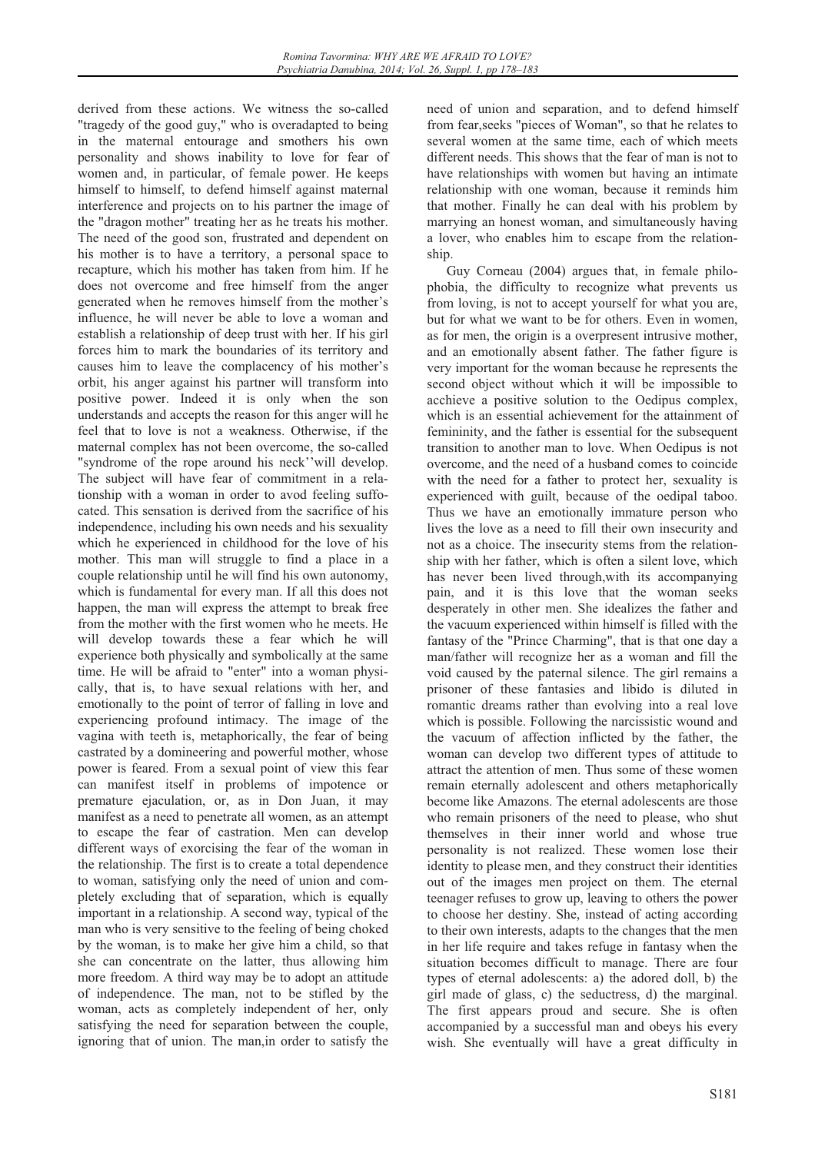derived from these actions. We witness the so-called "tragedy of the good guy," who is overadapted to being in the maternal entourage and smothers his own personality and shows inability to love for fear of women and, in particular, of female power. He keeps himself to himself, to defend himself against maternal interference and projects on to his partner the image of the "dragon mother" treating her as he treats his mother. The need of the good son, frustrated and dependent on his mother is to have a territory, a personal space to recapture, which his mother has taken from him. If he does not overcome and free himself from the anger generated when he removes himself from the mother's influence, he will never be able to love a woman and establish a relationship of deep trust with her. If his girl forces him to mark the boundaries of its territory and causes him to leave the complacency of his mother's orbit, his anger against his partner will transform into positive power. Indeed it is only when the son understands and accepts the reason for this anger will he feel that to love is not a weakness. Otherwise, if the maternal complex has not been overcome, the so-called "syndrome of the rope around his neck''will develop. The subject will have fear of commitment in a relationship with a woman in order to avod feeling suffocated. This sensation is derived from the sacrifice of his independence, including his own needs and his sexuality which he experienced in childhood for the love of his mother. This man will struggle to find a place in a couple relationship until he will find his own autonomy, which is fundamental for every man. If all this does not happen, the man will express the attempt to break free from the mother with the first women who he meets. He will develop towards these a fear which he will experience both physically and symbolically at the same time. He will be afraid to "enter" into a woman physically, that is, to have sexual relations with her, and emotionally to the point of terror of falling in love and experiencing profound intimacy. The image of the vagina with teeth is, metaphorically, the fear of being castrated by a domineering and powerful mother, whose power is feared. From a sexual point of view this fear can manifest itself in problems of impotence or premature ejaculation, or, as in Don Juan, it may manifest as a need to penetrate all women, as an attempt to escape the fear of castration. Men can develop different ways of exorcising the fear of the woman in the relationship. The first is to create a total dependence to woman, satisfying only the need of union and completely excluding that of separation, which is equally important in a relationship. A second way, typical of the man who is very sensitive to the feeling of being choked by the woman, is to make her give him a child, so that she can concentrate on the latter, thus allowing him more freedom. A third way may be to adopt an attitude of independence. The man, not to be stifled by the woman, acts as completely independent of her, only satisfying the need for separation between the couple, ignoring that of union. The man,in order to satisfy the

need of union and separation, and to defend himself from fear,seeks "pieces of Woman", so that he relates to several women at the same time, each of which meets different needs. This shows that the fear of man is not to have relationships with women but having an intimate relationship with one woman, because it reminds him that mother. Finally he can deal with his problem by marrying an honest woman, and simultaneously having a lover, who enables him to escape from the relationship.

Guy Corneau (2004) argues that, in female philophobia, the difficulty to recognize what prevents us from loving, is not to accept yourself for what you are, but for what we want to be for others. Even in women, as for men, the origin is a overpresent intrusive mother, and an emotionally absent father. The father figure is very important for the woman because he represents the second object without which it will be impossible to acchieve a positive solution to the Oedipus complex, which is an essential achievement for the attainment of femininity, and the father is essential for the subsequent transition to another man to love. When Oedipus is not overcome, and the need of a husband comes to coincide with the need for a father to protect her, sexuality is experienced with guilt, because of the oedipal taboo. Thus we have an emotionally immature person who lives the love as a need to fill their own insecurity and not as a choice. The insecurity stems from the relationship with her father, which is often a silent love, which has never been lived through,with its accompanying pain, and it is this love that the woman seeks desperately in other men. She idealizes the father and the vacuum experienced within himself is filled with the fantasy of the "Prince Charming", that is that one day a man/father will recognize her as a woman and fill the void caused by the paternal silence. The girl remains a prisoner of these fantasies and libido is diluted in romantic dreams rather than evolving into a real love which is possible. Following the narcissistic wound and the vacuum of affection inflicted by the father, the woman can develop two different types of attitude to attract the attention of men. Thus some of these women remain eternally adolescent and others metaphorically become like Amazons. The eternal adolescents are those who remain prisoners of the need to please, who shut themselves in their inner world and whose true personality is not realized. These women lose their identity to please men, and they construct their identities out of the images men project on them. The eternal teenager refuses to grow up, leaving to others the power to choose her destiny. She, instead of acting according to their own interests, adapts to the changes that the men in her life require and takes refuge in fantasy when the situation becomes difficult to manage. There are four types of eternal adolescents: a) the adored doll, b) the girl made of glass, c) the seductress, d) the marginal. The first appears proud and secure. She is often accompanied by a successful man and obeys his every wish. She eventually will have a great difficulty in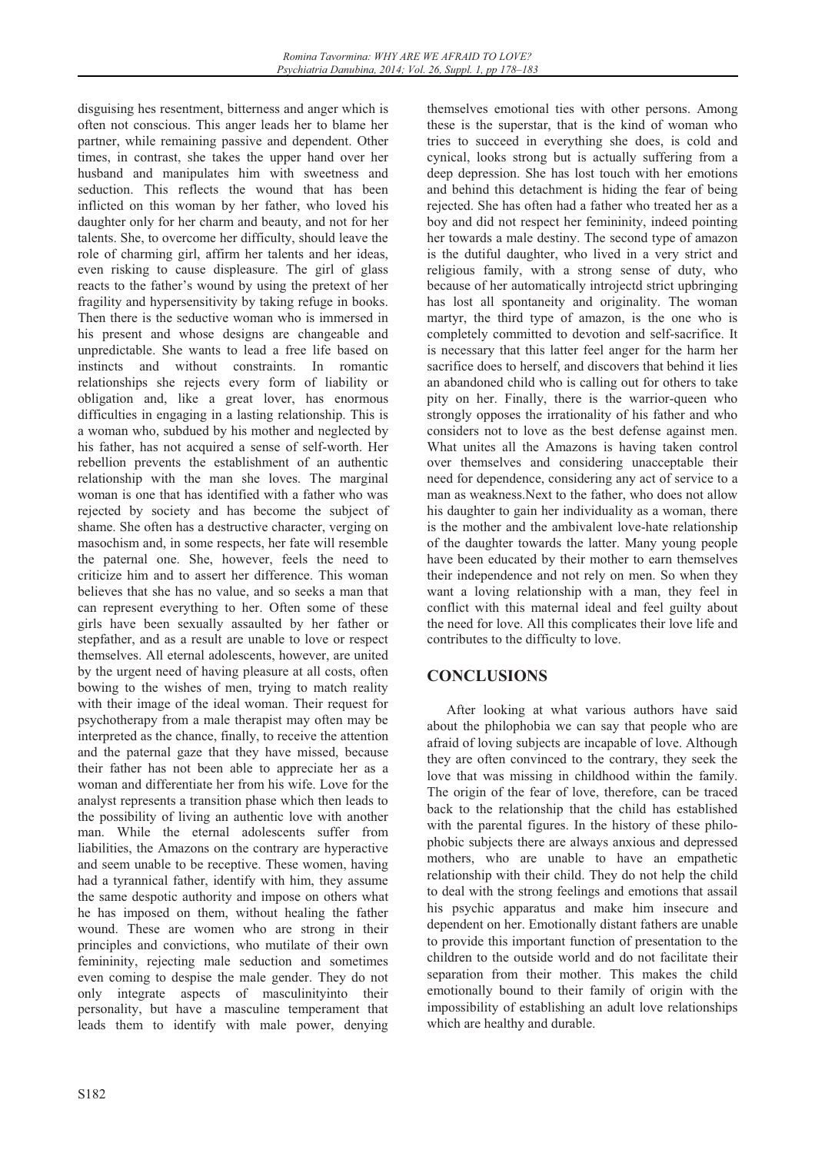disguising hes resentment, bitterness and anger which is often not conscious. This anger leads her to blame her partner, while remaining passive and dependent. Other times, in contrast, she takes the upper hand over her husband and manipulates him with sweetness and seduction. This reflects the wound that has been inflicted on this woman by her father, who loved his daughter only for her charm and beauty, and not for her talents. She, to overcome her difficulty, should leave the role of charming girl, affirm her talents and her ideas, even risking to cause displeasure. The girl of glass reacts to the father's wound by using the pretext of her fragility and hypersensitivity by taking refuge in books. Then there is the seductive woman who is immersed in his present and whose designs are changeable and unpredictable. She wants to lead a free life based on instincts and without constraints. In romantic relationships she rejects every form of liability or obligation and, like a great lover, has enormous difficulties in engaging in a lasting relationship. This is a woman who, subdued by his mother and neglected by his father, has not acquired a sense of self-worth. Her rebellion prevents the establishment of an authentic relationship with the man she loves. The marginal woman is one that has identified with a father who was rejected by society and has become the subject of shame. She often has a destructive character, verging on masochism and, in some respects, her fate will resemble the paternal one. She, however, feels the need to criticize him and to assert her difference. This woman believes that she has no value, and so seeks a man that can represent everything to her. Often some of these girls have been sexually assaulted by her father or stepfather, and as a result are unable to love or respect themselves. All eternal adolescents, however, are united by the urgent need of having pleasure at all costs, often bowing to the wishes of men, trying to match reality with their image of the ideal woman. Their request for psychotherapy from a male therapist may often may be interpreted as the chance, finally, to receive the attention and the paternal gaze that they have missed, because their father has not been able to appreciate her as a woman and differentiate her from his wife. Love for the analyst represents a transition phase which then leads to the possibility of living an authentic love with another man. While the eternal adolescents suffer from liabilities, the Amazons on the contrary are hyperactive and seem unable to be receptive. These women, having had a tyrannical father, identify with him, they assume the same despotic authority and impose on others what he has imposed on them, without healing the father wound. These are women who are strong in their principles and convictions, who mutilate of their own femininity, rejecting male seduction and sometimes even coming to despise the male gender. They do not only integrate aspects of masculinityinto their personality, but have a masculine temperament that leads them to identify with male power, denying

themselves emotional ties with other persons. Among these is the superstar, that is the kind of woman who tries to succeed in everything she does, is cold and cynical, looks strong but is actually suffering from a deep depression. She has lost touch with her emotions and behind this detachment is hiding the fear of being rejected. She has often had a father who treated her as a boy and did not respect her femininity, indeed pointing her towards a male destiny. The second type of amazon is the dutiful daughter, who lived in a very strict and religious family, with a strong sense of duty, who because of her automatically introjectd strict upbringing has lost all spontaneity and originality. The woman martyr, the third type of amazon, is the one who is completely committed to devotion and self-sacrifice. It is necessary that this latter feel anger for the harm her sacrifice does to herself, and discovers that behind it lies an abandoned child who is calling out for others to take pity on her. Finally, there is the warrior-queen who strongly opposes the irrationality of his father and who considers not to love as the best defense against men. What unites all the Amazons is having taken control over themselves and considering unacceptable their need for dependence, considering any act of service to a man as weakness.Next to the father, who does not allow his daughter to gain her individuality as a woman, there is the mother and the ambivalent love-hate relationship of the daughter towards the latter. Many young people have been educated by their mother to earn themselves their independence and not rely on men. So when they want a loving relationship with a man, they feel in conflict with this maternal ideal and feel guilty about the need for love. All this complicates their love life and contributes to the difficulty to love.

# **CONCLUSIONS**

After looking at what various authors have said about the philophobia we can say that people who are afraid of loving subjects are incapable of love. Although they are often convinced to the contrary, they seek the love that was missing in childhood within the family. The origin of the fear of love, therefore, can be traced back to the relationship that the child has established with the parental figures. In the history of these philophobic subjects there are always anxious and depressed mothers, who are unable to have an empathetic relationship with their child. They do not help the child to deal with the strong feelings and emotions that assail his psychic apparatus and make him insecure and dependent on her. Emotionally distant fathers are unable to provide this important function of presentation to the children to the outside world and do not facilitate their separation from their mother. This makes the child emotionally bound to their family of origin with the impossibility of establishing an adult love relationships which are healthy and durable.